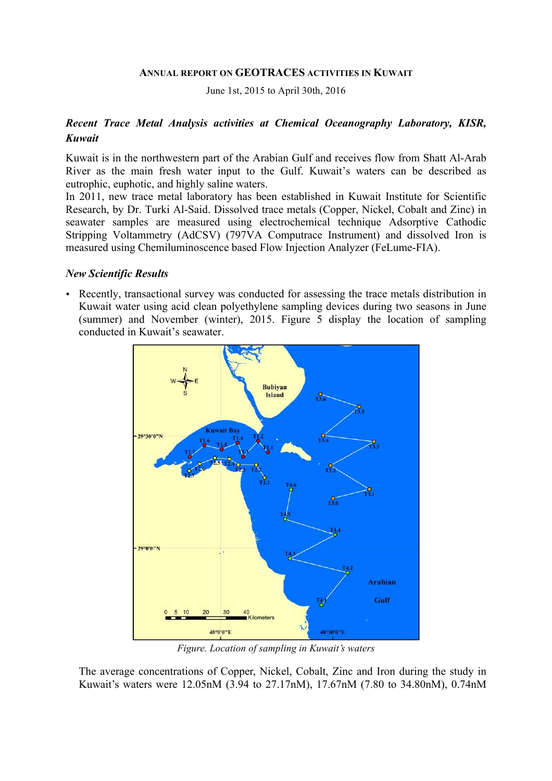#### **ANNUAL REPORT ON GEOTRACES ACTIVITIES IN KUWAIT**

June 1st, 2015 to April 30th, 2016

# *Recent Trace Metal Analysis activities at Chemical Oceanography Laboratory, KISR, Kuwait*

Kuwait is in the northwestern part of the Arabian Gulf and receives flow from Shatt Al-Arab River as the main fresh water input to the Gulf. Kuwait's waters can be described as eutrophic, euphotic, and highly saline waters.

In 2011, new trace metal laboratory has been established in Kuwait Institute for Scientific Research, by Dr. Turki Al-Said. Dissolved trace metals (Copper, Nickel, Cobalt and Zinc) in seawater samples are measured using electrochemical technique Adsorptive Cathodic Stripping Voltammetry (AdCSV) (797VA Computrace Instrument) and dissolved Iron is measured using Chemiluminoscence based Flow Injection Analyzer (FeLume-FIA).

#### *New Scientific Results*

• Recently, transactional survey was conducted for assessing the trace metals distribution in Kuwait water using acid clean polyethylene sampling devices during two seasons in June (summer) and November (winter), 2015. Figure 5 display the location of sampling conducted in Kuwait's seawater.



*Figure. Location of sampling in Kuwait's waters*

The average concentrations of Copper, Nickel, Cobalt, Zinc and Iron during the study in Kuwait's waters were 12.05nM (3.94 to 27.17nM), 17.67nM (7.80 to 34.80nM), 0.74nM